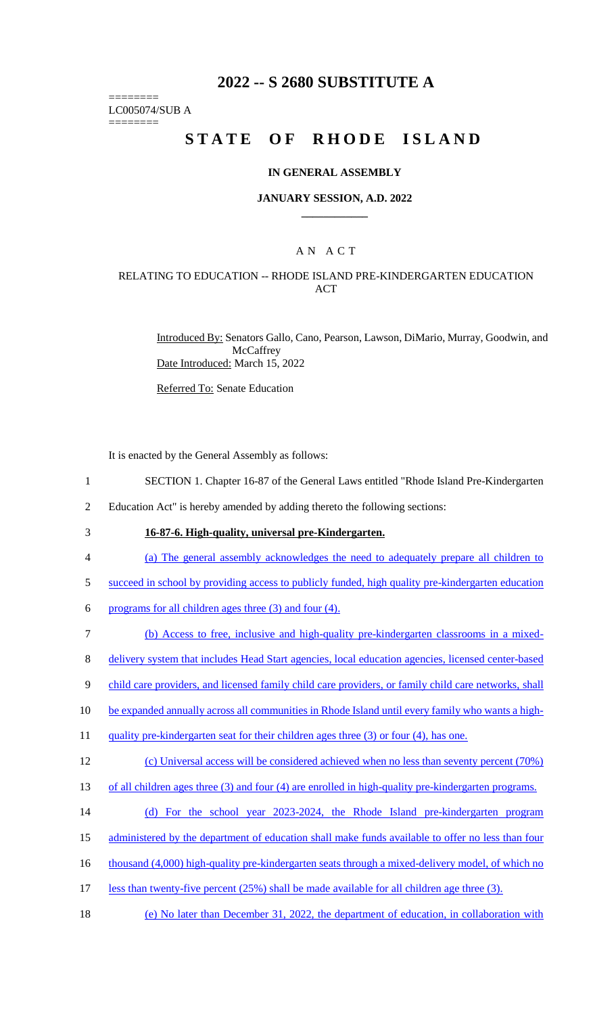# **2022 -- S 2680 SUBSTITUTE A**

======== LC005074/SUB A

========

# **STATE OF RHODE ISLAND**

## **IN GENERAL ASSEMBLY**

### **JANUARY SESSION, A.D. 2022 \_\_\_\_\_\_\_\_\_\_\_\_**

## A N A C T

## RELATING TO EDUCATION -- RHODE ISLAND PRE-KINDERGARTEN EDUCATION ACT

Introduced By: Senators Gallo, Cano, Pearson, Lawson, DiMario, Murray, Goodwin, and **McCaffrey** Date Introduced: March 15, 2022

Referred To: Senate Education

It is enacted by the General Assembly as follows:

- 1 SECTION 1. Chapter 16-87 of the General Laws entitled "Rhode Island Pre-Kindergarten
- 2 Education Act" is hereby amended by adding thereto the following sections:
- 

# 3 **16-87-6. High-quality, universal pre-Kindergarten.**

- 4 (a) The general assembly acknowledges the need to adequately prepare all children to
- 5 succeed in school by providing access to publicly funded, high quality pre-kindergarten education
- 6 programs for all children ages three  $(3)$  and four  $(4)$ .
- 7 (b) Access to free, inclusive and high-quality pre-kindergarten classrooms in a mixed-
- 8 delivery system that includes Head Start agencies, local education agencies, licensed center-based
- 9 child care providers, and licensed family child care providers, or family child care networks, shall
- 10 be expanded annually across all communities in Rhode Island until every family who wants a high-
- 11 quality pre-kindergarten seat for their children ages three (3) or four (4), has one.

#### 12 (c) Universal access will be considered achieved when no less than seventy percent (70%)

- 13 of all children ages three (3) and four (4) are enrolled in high-quality pre-kindergarten programs.
- 14 (d) For the school year 2023-2024, the Rhode Island pre-kindergarten program
- 15 administered by the department of education shall make funds available to offer no less than four
- 16 thousand (4,000) high-quality pre-kindergarten seats through a mixed-delivery model, of which no
- 17 less than twenty-five percent (25%) shall be made available for all children age three (3).
- 18 (e) No later than December 31, 2022, the department of education, in collaboration with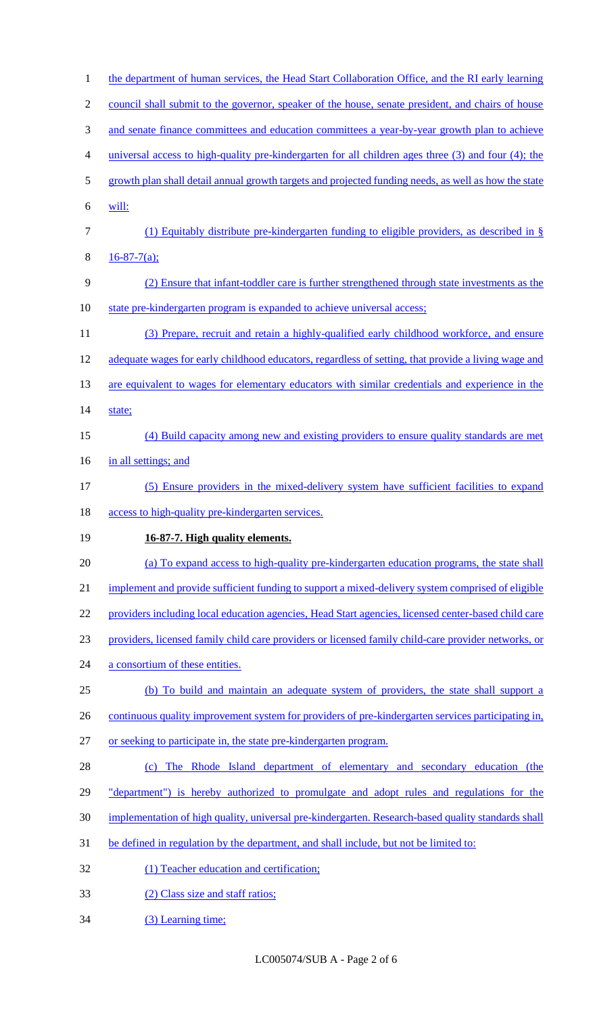| $\mathbf{1}$ | the department of human services, the Head Start Collaboration Office, and the RI early learning     |
|--------------|------------------------------------------------------------------------------------------------------|
| $\mathbf{2}$ | council shall submit to the governor, speaker of the house, senate president, and chairs of house    |
| 3            | and senate finance committees and education committees a year-by-year growth plan to achieve         |
| 4            | universal access to high-quality pre-kindergarten for all children ages three (3) and four (4); the  |
| 5            | growth plan shall detail annual growth targets and projected funding needs, as well as how the state |
| 6            | will:                                                                                                |
| 7            | (1) Equitably distribute pre-kindergarten funding to eligible providers, as described in $\S$        |
| 8            | $16 - 87 - 7(a);$                                                                                    |
| 9            | (2) Ensure that infant-toddler care is further strengthened through state investments as the         |
| 10           | state pre-kindergarten program is expanded to achieve universal access;                              |
| 11           | (3) Prepare, recruit and retain a highly-qualified early childhood workforce, and ensure             |
| 12           | adequate wages for early childhood educators, regardless of setting, that provide a living wage and  |
| 13           | are equivalent to wages for elementary educators with similar credentials and experience in the      |
| 14           | state;                                                                                               |
| 15           | (4) Build capacity among new and existing providers to ensure quality standards are met              |
| 16           | in all settings; and                                                                                 |
| 17           | (5) Ensure providers in the mixed-delivery system have sufficient facilities to expand               |
| 18           | access to high-quality pre-kindergarten services.                                                    |
| 19           | 16-87-7. High quality elements.                                                                      |
| 20           | (a) To expand access to high-quality pre-kindergarten education programs, the state shall            |
| 21           | implement and provide sufficient funding to support a mixed-delivery system comprised of eligible    |
| 22           | providers including local education agencies, Head Start agencies, licensed center-based child care  |
| 23           | providers, licensed family child care providers or licensed family child-care provider networks, or  |
| 24           | a consortium of these entities.                                                                      |
| 25           | (b) To build and maintain an adequate system of providers, the state shall support a                 |
| 26           | continuous quality improvement system for providers of pre-kindergarten services participating in,   |
| 27           | or seeking to participate in, the state pre-kindergarten program.                                    |
| 28           | The Rhode Island department of elementary and secondary education (the                               |
| 29           | "department") is hereby authorized to promulgate and adopt rules and regulations for the             |
| 30           | implementation of high quality, universal pre-kindergarten. Research-based quality standards shall   |
| 31           | be defined in regulation by the department, and shall include, but not be limited to:                |
| 32           | (1) Teacher education and certification;                                                             |
|              |                                                                                                      |
| 33           | (2) Class size and staff ratios;                                                                     |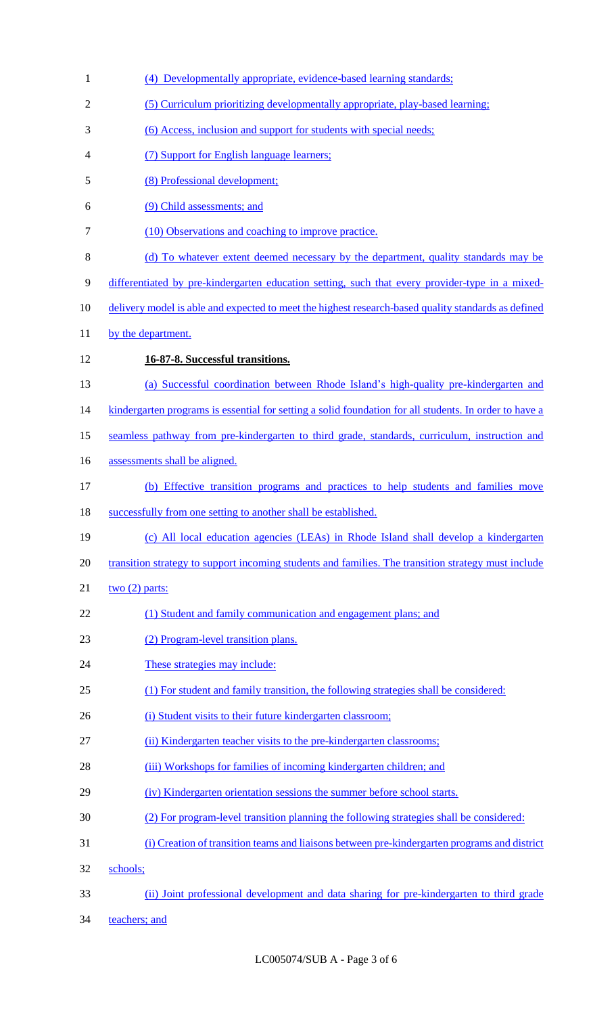| $\mathbf{1}$   | (4) Developmentally appropriate, evidence-based learning standards;                                    |
|----------------|--------------------------------------------------------------------------------------------------------|
| $\overline{2}$ | (5) Curriculum prioritizing developmentally appropriate, play-based learning;                          |
| 3              | (6) Access, inclusion and support for students with special needs;                                     |
| 4              | (7) Support for English language learners;                                                             |
| 5              | (8) Professional development;                                                                          |
| 6              | (9) Child assessments; and                                                                             |
| 7              | (10) Observations and coaching to improve practice.                                                    |
| 8              | (d) To whatever extent deemed necessary by the department, quality standards may be                    |
| 9              | differentiated by pre-kindergarten education setting, such that every provider-type in a mixed-        |
| 10             | delivery model is able and expected to meet the highest research-based quality standards as defined    |
| 11             | by the department.                                                                                     |
| 12             | 16-87-8. Successful transitions.                                                                       |
| 13             | (a) Successful coordination between Rhode Island's high-quality pre-kindergarten and                   |
| 14             | kindergarten programs is essential for setting a solid foundation for all students. In order to have a |
| 15             | seamless pathway from pre-kindergarten to third grade, standards, curriculum, instruction and          |
| 16             | assessments shall be aligned.                                                                          |
| 17             | (b) Effective transition programs and practices to help students and families move                     |
| 18             | successfully from one setting to another shall be established.                                         |
| 19             | (c) All local education agencies (LEAs) in Rhode Island shall develop a kindergarten                   |
| 20             | transition strategy to support incoming students and families. The transition strategy must include    |
| 21             | two $(2)$ parts:                                                                                       |
| 22             | (1) Student and family communication and engagement plans; and                                         |
| 23             | (2) Program-level transition plans.                                                                    |
| 24             | These strategies may include:                                                                          |
| 25             | (1) For student and family transition, the following strategies shall be considered:                   |
| 26             | (i) Student visits to their future kindergarten classroom;                                             |
| 27             | (ii) Kindergarten teacher visits to the pre-kindergarten classrooms;                                   |
| 28             | (iii) Workshops for families of incoming kindergarten children; and                                    |
| 29             | (iv) Kindergarten orientation sessions the summer before school starts.                                |
| 30             | (2) For program-level transition planning the following strategies shall be considered:                |
| 31             | (i) Creation of transition teams and liaisons between pre-kindergarten programs and district           |
| 32             | schools;                                                                                               |
| 33             | (ii) Joint professional development and data sharing for pre-kindergarten to third grade               |
| 34             | teachers; and                                                                                          |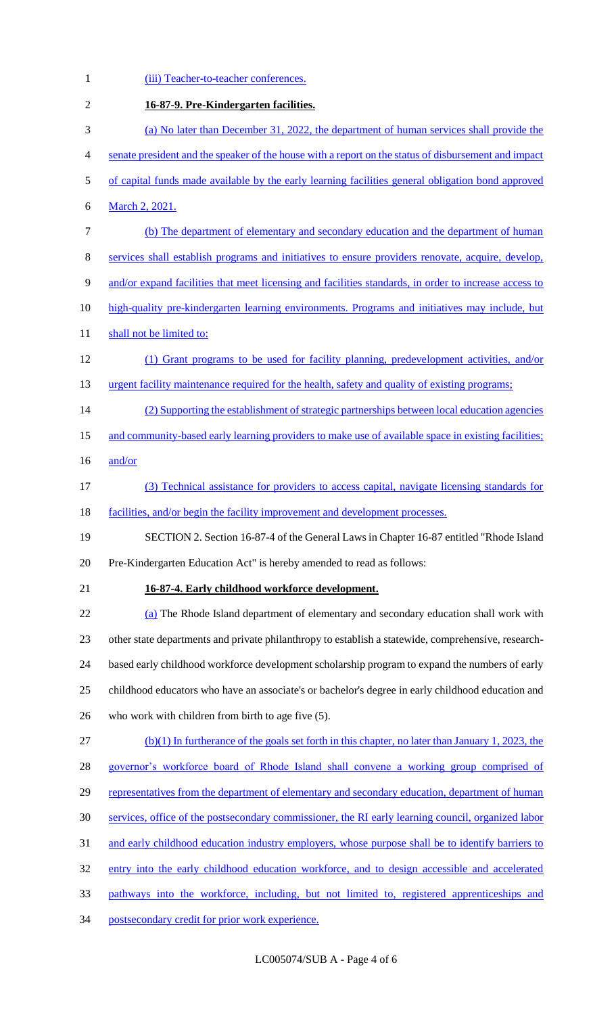| $\mathbf{1}$   | (iii) Teacher-to-teacher conferences.                                                                 |
|----------------|-------------------------------------------------------------------------------------------------------|
| $\overline{2}$ | 16-87-9. Pre-Kindergarten facilities.                                                                 |
| 3              | (a) No later than December 31, 2022, the department of human services shall provide the               |
| 4              | senate president and the speaker of the house with a report on the status of disbursement and impact  |
| 5              | of capital funds made available by the early learning facilities general obligation bond approved     |
| 6              | March 2, 2021.                                                                                        |
| 7              | (b) The department of elementary and secondary education and the department of human                  |
| 8              | services shall establish programs and initiatives to ensure providers renovate, acquire, develop,     |
| 9              | and/or expand facilities that meet licensing and facilities standards, in order to increase access to |
| 10             | high-quality pre-kindergarten learning environments. Programs and initiatives may include, but        |
| 11             | shall not be limited to:                                                                              |
| 12             | (1) Grant programs to be used for facility planning, predevelopment activities, and/or                |
| 13             | urgent facility maintenance required for the health, safety and quality of existing programs;         |
| 14             | (2) Supporting the establishment of strategic partnerships between local education agencies           |
| 15             | and community-based early learning providers to make use of available space in existing facilities;   |
| 16             | and/or                                                                                                |
| 17             | (3) Technical assistance for providers to access capital, navigate licensing standards for            |
| 18             | facilities, and/or begin the facility improvement and development processes.                          |
| 19             | SECTION 2. Section 16-87-4 of the General Laws in Chapter 16-87 entitled "Rhode Island                |
| 20             | Pre-Kindergarten Education Act" is hereby amended to read as follows:                                 |
| 21             | 16-87-4. Early childhood workforce development.                                                       |
| 22             | (a) The Rhode Island department of elementary and secondary education shall work with                 |
| 23             | other state departments and private philanthropy to establish a statewide, comprehensive, research-   |
| 24             | based early childhood workforce development scholarship program to expand the numbers of early        |
| 25             | childhood educators who have an associate's or bachelor's degree in early childhood education and     |
| 26             | who work with children from birth to age five $(5)$ .                                                 |
| 27             | $(b)(1)$ In furtherance of the goals set forth in this chapter, no later than January 1, 2023, the    |
| 28             | governor's workforce board of Rhode Island shall convene a working group comprised of                 |
| 29             | representatives from the department of elementary and secondary education, department of human        |
| 30             | services, office of the postsecondary commissioner, the RI early learning council, organized labor    |
| 31             | and early childhood education industry employers, whose purpose shall be to identify barriers to      |
| 32             | entry into the early childhood education workforce, and to design accessible and accelerated          |
| 33             | pathways into the workforce, including, but not limited to, registered apprenticeships and            |
| 34             | postsecondary credit for prior work experience.                                                       |
|                |                                                                                                       |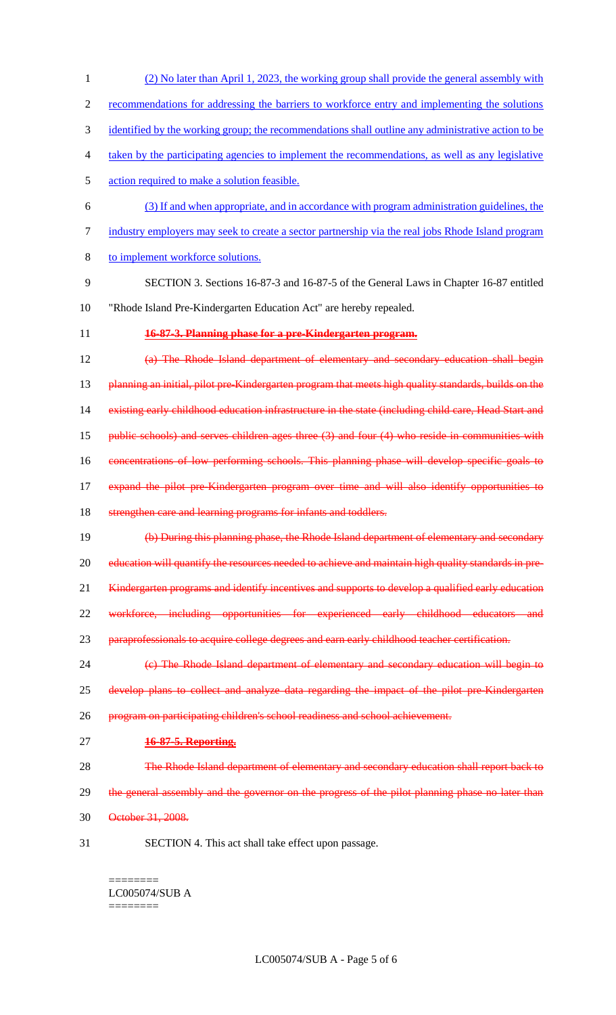recommendations for addressing the barriers to workforce entry and implementing the solutions identified by the working group; the recommendations shall outline any administrative action to be taken by the participating agencies to implement the recommendations, as well as any legislative action required to make a solution feasible. (3) If and when appropriate, and in accordance with program administration guidelines, the industry employers may seek to create a sector partnership via the real jobs Rhode Island program to implement workforce solutions. SECTION 3. Sections 16-87-3 and 16-87-5 of the General Laws in Chapter 16-87 entitled "Rhode Island Pre-Kindergarten Education Act" are hereby repealed. **16-87-3. Planning phase for a pre-Kindergarten program.** (a) The Rhode Island department of elementary and secondary education shall begin 13 planning an initial, pilot pre-Kindergarten program that meets high quality standards, builds on the existing early childhood education infrastructure in the state (including child care, Head Start and public schools) and serves children ages three (3) and four (4) who reside in communities with concentrations of low performing schools. This planning phase will develop specific goals to expand the pilot pre-Kindergarten program over time and will also identify opportunities to 18 strengthen care and learning programs for infants and toddlers. (b) During this planning phase, the Rhode Island department of elementary and secondary 20 education will quantify the resources needed to achieve and maintain high quality standards in pre-21 Kindergarten programs and identify incentives and supports to develop a qualified early education 22 workforce, including opportunities for experienced early childhood educators and 23 paraprofessionals to acquire college degrees and earn early childhood teacher certification. (c) The Rhode Island department of elementary and secondary education will begin to 25 develop plans to collect and analyze data regarding the impact of the pilot pre-Kindergarten program on participating children's school readiness and school achievement. **16-87-5. Reporting.** 28 The Rhode Island department of elementary and secondary education shall report back to 29 the general assembly and the governor on the progress of the pilot planning phase no later than October 31, 2008. SECTION 4. This act shall take effect upon passage. ========

(2) No later than April 1, 2023, the working group shall provide the general assembly with

========

LC005074/SUB A